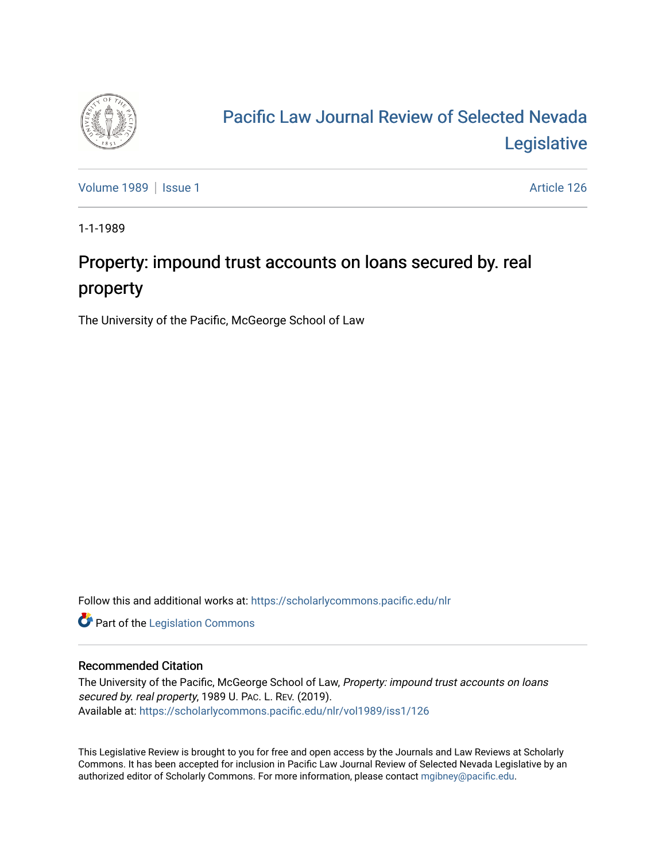

# [Pacific Law Journal Review of Selected Nevada](https://scholarlycommons.pacific.edu/nlr)  [Legislative](https://scholarlycommons.pacific.edu/nlr)

[Volume 1989](https://scholarlycommons.pacific.edu/nlr/vol1989) | [Issue 1](https://scholarlycommons.pacific.edu/nlr/vol1989/iss1) Article 126

1-1-1989

## Property: impound trust accounts on loans secured by. real property

The University of the Pacific, McGeorge School of Law

Follow this and additional works at: [https://scholarlycommons.pacific.edu/nlr](https://scholarlycommons.pacific.edu/nlr?utm_source=scholarlycommons.pacific.edu%2Fnlr%2Fvol1989%2Fiss1%2F126&utm_medium=PDF&utm_campaign=PDFCoverPages) 

**Part of the [Legislation Commons](http://network.bepress.com/hgg/discipline/859?utm_source=scholarlycommons.pacific.edu%2Fnlr%2Fvol1989%2Fiss1%2F126&utm_medium=PDF&utm_campaign=PDFCoverPages)** 

### Recommended Citation

The University of the Pacific, McGeorge School of Law, Property: impound trust accounts on loans secured by. real property, 1989 U. PAC. L. REV. (2019). Available at: [https://scholarlycommons.pacific.edu/nlr/vol1989/iss1/126](https://scholarlycommons.pacific.edu/nlr/vol1989/iss1/126?utm_source=scholarlycommons.pacific.edu%2Fnlr%2Fvol1989%2Fiss1%2F126&utm_medium=PDF&utm_campaign=PDFCoverPages) 

This Legislative Review is brought to you for free and open access by the Journals and Law Reviews at Scholarly Commons. It has been accepted for inclusion in Pacific Law Journal Review of Selected Nevada Legislative by an authorized editor of Scholarly Commons. For more information, please contact [mgibney@pacific.edu](mailto:mgibney@pacific.edu).